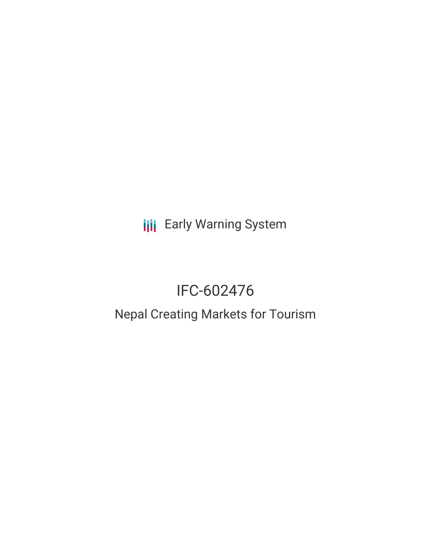**III** Early Warning System

# IFC-602476

# Nepal Creating Markets for Tourism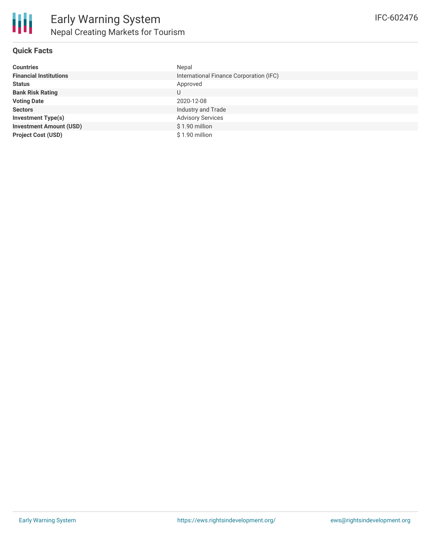

## **Quick Facts**

| <b>Countries</b>               | Nepal                                   |
|--------------------------------|-----------------------------------------|
| <b>Financial Institutions</b>  | International Finance Corporation (IFC) |
| <b>Status</b>                  | Approved                                |
| <b>Bank Risk Rating</b>        | U                                       |
| <b>Voting Date</b>             | 2020-12-08                              |
| <b>Sectors</b>                 | Industry and Trade                      |
| <b>Investment Type(s)</b>      | <b>Advisory Services</b>                |
| <b>Investment Amount (USD)</b> | \$1.90 million                          |
| <b>Project Cost (USD)</b>      | \$1.90 million                          |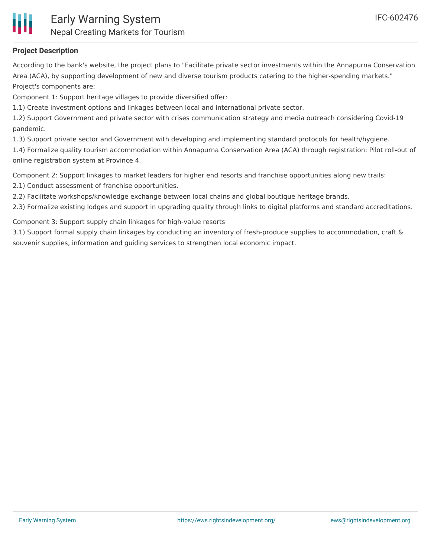

# **Project Description**

According to the bank's website, the project plans to "Facilitate private sector investments within the Annapurna Conservation Area (ACA), by supporting development of new and diverse tourism products catering to the higher-spending markets." Project's components are:

Component 1: Support heritage villages to provide diversified offer:

1.1) Create investment options and linkages between local and international private sector.

1.2) Support Government and private sector with crises communication strategy and media outreach considering Covid-19 pandemic.

1.3) Support private sector and Government with developing and implementing standard protocols for health/hygiene.

1.4) Formalize quality tourism accommodation within Annapurna Conservation Area (ACA) through registration: Pilot roll-out of online registration system at Province 4.

Component 2: Support linkages to market leaders for higher end resorts and franchise opportunities along new trails:

2.1) Conduct assessment of franchise opportunities.

2.2) Facilitate workshops/knowledge exchange between local chains and global boutique heritage brands.

2.3) Formalize existing lodges and support in upgrading quality through links to digital platforms and standard accreditations.

Component 3: Support supply chain linkages for high-value resorts

3.1) Support formal supply chain linkages by conducting an inventory of fresh-produce supplies to accommodation, craft & souvenir supplies, information and guiding services to strengthen local economic impact.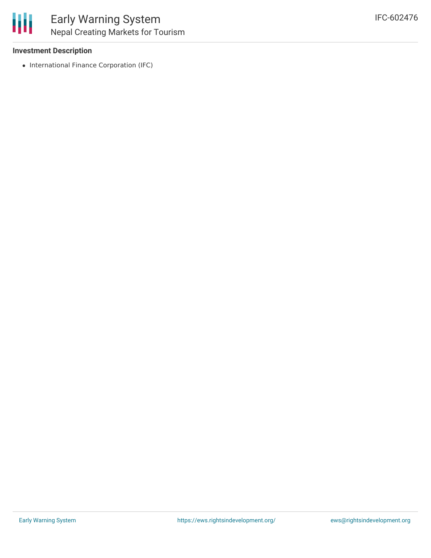

#### **Investment Description**

• International Finance Corporation (IFC)